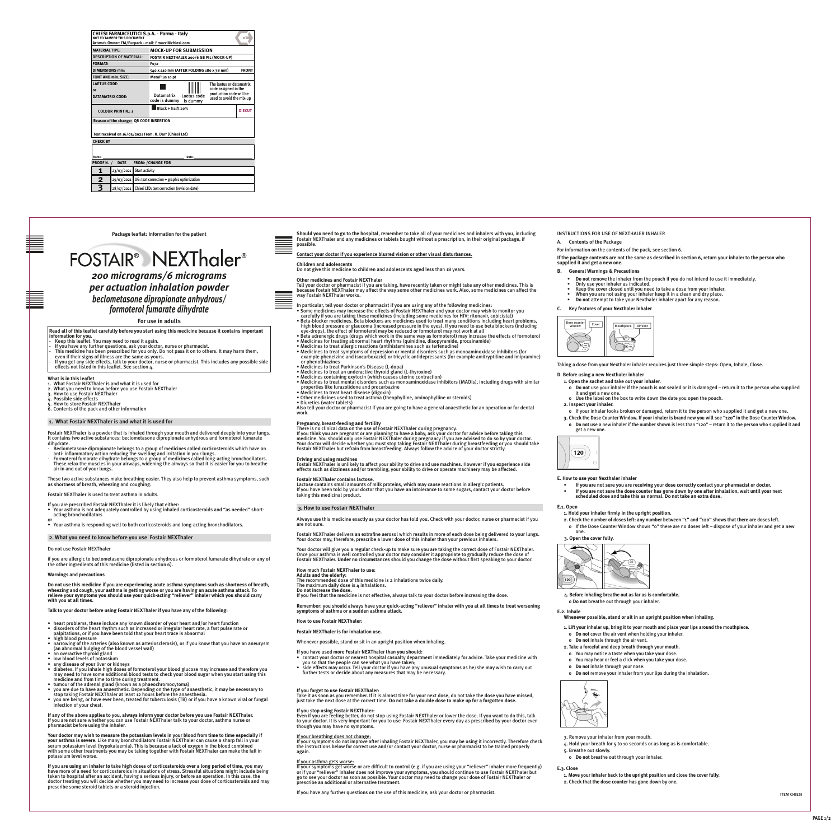# *200 micrograms/6 micrograms per actuation inhalation powder beclometasone dipropionate anhydrous/ formoterol fumarate dihydrate* ITEM CHIESI FARMACEUTICI S.<br>
ITEM CHIESI FARMACEUTICI S.<br>
ITALY AND TRANSPORT S.<br>
ITALY AND TRANSPORT S.<br>
ITALY AND TRANSPORT S.<br>
ITALY AND TRANSPORT S.

**BAR - CODE ZONE**

**BAR - CODE ZONE**





Text direction the contents of the Package Test direction Text direction Text direction Text direction Text direction Text direction Text direction in the package, if a contents of the Package possible. **Should you need to go to the hospital**, remember to take all of your medicines and inhalers with you, including possible.

ITEM CHIESI

**Package leaflet: Information for the patient**

**For use in adults**

**Contact your doctor if you experience blurred vision or other visual disturbances.**

**Children and adolescents**

Do not give this medicine to children and adolescents aged less than 18 years.

**Other medicines and Fostair NEXThaler**

Tell your doctor or pharmacist if you are taking, have recently taken or might take any other medicines. This is because Fostair NEXThaler may affect the way some other medicines work. Also, some medicines can affect the way Fostair NEXThaler works.

Also tell your doctor or pharmacist if you are going to have a general anaesthetic for an operation or for dental<br>A leveur inhaler looks broken or damaged, return it work.

In particular, tell your doctor or pharmacist if you are using any of the following medicines:

- Some medicines may increase the effects of Fostair NEXThaler and your doctor may wish to monitor you carefully if you are taking these medicines (including some medicines for HIV: ritonavir, cobicistat)
- Beta-blocker medicines. Beta blockers are medicines used to treat many conditions including heart problems, high blood pressure or glaucoma (increased pressure in the eyes). If you need to use beta blockers (including
- eye-drops), the effect of formoterol may be reduced or formoterol may not work at all • Beta adrenergic drugs (drugs which work in the same way as formoterol) may increase the effects of formoterol • Medicines for treating abnormal heart rhythms (quinidine, disopyramide, procainamide)
- 
- 13 13 5 5 5 5 Medicines to treat allergic reactions (antihistamines such as terfenadine)
	- Medicines to treat symptoms of depression or mental disorders such as monoaminoxidase inhibitors (for
	- or phenothiazines
	- Medicines to treat Parkinson's Disease (L-dopa)
	- Medicines to treat an underactive thyroid gland (L-thyroxine)
	- Medicines containing oxytocin (which causes uterine contraction)
	- Medicines to treat mental disorders such as monoaminoxidase inhibitors (MAOIs), including drugs with similar
	- properties like furazolidone and procarbazine
	- Medicines to treat heart disease (digoxin)
	- Other medicines used to treat asthma (theophylline, aminophylline or steroids) • Diuretics (water tablets)
- 
- example phenelzine and isocarboxazid) or tricyclic antidepressants (for example amitryptiline and imipramine)

- 
- 

# **Pregnancy, breast-feeding and fertility**

There is no clinical data on the use of Fostair NEXThaler during pregnancy. If you think you are pregnant or are planning to have a baby, ask your doctor for advice before taking this medicine. You should only use Fostair NEXThaler during pregnancy if you are advised to do so by your doctor. Your doctor will decide whether you must stop taking Fostair NEXThaler during breastfeeding or you should take Fostair NEXThaler but refrain from breastfeeding. Always follow the advice of your doctor strictly.

#### **Driving and using machines**

Fostair NEXThaler is unlikely to affect your ability to drive and use machines. However if you experience side effects such as dizziness and/or trembling, your ability to drive or operate machinery may be affected.

#### **Fostair NEXThaler contains lactose.**

Lactose contains small amounts of milk proteins, which may cause reactions in allergic patients. If you have been told by your doctor that you have an intolerance to some sugars, contact your doctor before taking this medicinal product.

#### **3. How to use Fostair NEXThaler**

Always use this medicine exactly as your doctor has told you. Check with your doctor, nurse or pharmacist if you are not sure.

Fostair NEXThaler delivers an extrafine aerosol which results in more of each dose being delivered to your lungs. Your doctor may, therefore, prescribe a lower dose of this inhaler than your previous inhalers.

Your doctor will give you a regular check-up to make sure you are taking the correct dose of Fostair NEXThaler. Once your asthma is well controlled your doctor may consider it appropriate to gradually reduce the dose of Fostair NEXThaler. **Under no circumstances** should you change the dose without first speaking to your doctor.

# **How much Fostair NEXThaler to use:**

**Adults and the elderly:**  The recommended dose of this medicine is 2 inhalations twice daily.

The maximum daily dose is 4 inhalations.

**Do not increase the dose.**

If you feel that the medicine is not effective, always talk to your doctor before increasing the dose.

**Remember: you should always have your quick-acting "reliever" inhaler with you at all times to treat worsening symptoms of asthma or a sudden asthma attack.** 

**How to use Fostair NEXThaler:**

**Fostair NEXThaler is for inhalation use.** 

Whenever possible, stand or sit in an upright position when inhaling.

# **If you have used more Fostair NEXThaler than you should:**

• contact your doctor or nearest hospital casualty department immediately for advice. Take your medicine with

- 
- you so that the people can see what you have taken; • side effects may occur. Tell your doctor if you have any unusual symptoms as he/she may wish to carry out further tests or decide about any measures that may be necessary.
- 

# **If you forget to use Fostair NEXThaler:**

Take it as soon as you remember. If it is almost time for your next dose, do not take the dose you have missed, just take the next dose at the correct time. **Do not take a double dose to make up for a forgotten dose.**

# **If you stop using Fostair NEXThaler:**

Even if you are feeling better, do not stop using Fostair NEXThaler or lower the dose. If you want to do this, talk to your doctor. It is very important for you to use Fostair NEXThaler every day as prescribed by your doctor even though you may have no symptoms.

### If your breathing does not change:

If your symptoms do not improve after inhaling Fostair NEXThaler, you may be using it incorrectly. Therefore check the instructions below for correct use and/or contact your doctor, nurse or pharmacist to be trained properly again.

#### If your asthma gets worse:

If your symptoms get worse or are difficult to control (e.g. if you are using your "reliever" inhaler more frequently) or if your "reliever" inhaler does not improve your symptoms, you should continue to use Fostair NEXThaler but go to see your doctor as soon as possible. Your doctor may need to change your dose of Fostair NEXThaler or prescribe an additional or alternative treatment.

If you have any further questions on the use of this medicine, ask your doctor or pharmacist.

# INSTRUCTIONS FOR USE OF NEXTHALER INHALER

# A. **Contents of the Package**

For information on the contents of the pack, see section 6.

**If the package contents are not the same as described in section 6, return your inhaler to the person who supplied it and get a new one.**

**B. General Warnings & Precautions**

- **Do not** remove the inhaler from the pouch if you do not intend to use it immediately.
- Only use your inhaler as indicated. • Keep the cover closed until you need to take a dose from your inhaler.
- When you are not using your inhaler keep it in a clean and dry place.
- **Do not** attempt to take your Nexthaler inhaler apart for any reason.

# **C. Key features of your Nexthaler inhaler**



Taking a dose from your Nexthaler inhaler requires just three simple steps: Open, Inhale, Close.

# **D. Before using a new Nexthaler inhaler**

- **1. Open the sachet and take out your inhaler.**
- <sup>o</sup>**Do not** use your inhaler if the pouch is not sealed or it is damaged return it to the person who supplied it and get a new one.
- o Use the label on the box to write down the date you open the pouch.
- **2. Inspect your inhaler.**
- o If your inhaler looks broken or damaged, return it to the person who supplied it and get a new one.
- **3. Check the Dose Counter Window. If your inhaler is brand new you will see "120" in the Dose Counter Window. o Do not** use a new inhaler if the number shown is less than "120" – return it to the person who supplied it and get a new one.

| 120 |  |
|-----|--|
|     |  |

**E. How to use your Nexthaler inhaler**

- **• If you are not sure you are receiving your dose correctly contact your pharmacist or doctor.**
- **• If you are not sure the dose counter has gone down by one after inhalation, wait until your next scheduled dose and take this as normal. Do not take an extra dose.**

# **E.1. Open**

- **1. Hold your inhaler firmly in the upright position.**
- **2. Check the number of doses left: any number between "1" and "120" shows that there are doses left.** o If the Dose Counter Window shows "0" there are no doses left – dispose of your inhaler and get a new





- **4. Before inhaling breathe out as far as is comfortable.**
- o **Do not** breathe out through your inhaler.

# **E.2. Inhale**

- **Whenever possible, stand or sit in an upright position when inhaling.**
- **1. Lift your inhaler up, bring it to your mouth and place your lips around the mouthpiece.** o **Do not** cover the air vent when holding your inhaler.
- o **Do not** inhale through the air vent.
- **2. Take a forceful and deep breath through your mouth.**
- o You may notice a taste when you take your dose.
- o You may hear or feel a click when you take your dose.
- **o Do not** inhale through your nose.
- o **Do not** remove your inhaler from your lips during the inhalation.



- 3. Remove your inhaler from your mouth.
- 4. Hold your breath for 5 to 10 seconds or as long as is comfortable.
- 5. Breathe out slowly.
- o **Do not** breathe out through your inhaler.

# **E.3. Close**

- **1. Move your inhaler back to the upright position and close the cover fully.**
- **2. Check that the dose counter has gone down by one.**

**Read all of this leaflet carefully before you start using this medicine because it contains important information for you.**

- Keep this leaflet. You may need to read it again
- If you have any further questions, ask your doctor, nurse or pharmacist.
- This medicine has been prescribed for you only. Do not pass it on to others. It may harm them, even if their signs of illness are the same as yours.
- If you get any side effects, talk to your doctor, nurse or pharmacist. This includes any possible side effects not listed in this leaflet. See section 4.

#### **What is in this leaflet**

- 1. What Fostair NEXThaler is and what it is used for
- 2. What you need to know before you use Fostair NEXThaler 3. How to use Fostair NEXThaler
- 4. Possible side effects
- 5. How to store Fostair NEXThaler
- 6. Contents of the pack and other information

# **1. What Fostair NEXThaler is and what it is used for**

Fostair NEXThaler is a powder that is inhaled through your mouth and delivered deeply into your lungs. It contains two active substances: beclometasone dipropionate anhydrous and formoterol fumarate dihydrate.

- Beclometasone dipropionate belongs to a group of medicines called corticosteroids which have an anti- inflammatory action reducing the swelling and irritation in your lungs.
- Formoterol fumarate dihydrate belongs to a group of medicines called long-acting bronchodilators. These relax the muscles in your airways, widening the airways so that it is easier for you to breathe air in and out of your lungs.

These two active substances make breathing easier. They also help to prevent asthma symptoms, such as shortness of breath, wheezing and coughing.

Fostair NEXThaler is used to treat asthma in adults.

If you are prescribed Fostair NEXThaler it is likely that either:

• Your asthma is not adequately controlled by using inhaled corticosteroids and "as needed" shortacting bronchodilators

or • Your asthma is responding well to both corticosteroids and long-acting bronchodilators.

# **2. What you need to know before you use Fostair NEXThaler**

#### Do not use Fostair NEXThaler

if you are allergic to beclometasone dipropionate anhydrous or formoterol fumarate dihydrate or any of the other ingredients of this medicine (listed in section 6).

#### **Warnings and precautions**

**Do not use this medicine if you are experiencing acute asthma symptoms such as shortness of breath, wheezing and cough, your asthma is getting worse or you are having an acute asthma attack. To relieve your symptoms you should use your quick-acting "reliever" inhaler which you should carry with you at all times.** 

**Talk to your doctor before using Fostair NEXThaler if you have any of the following:**

- heart problems, these include any known disorder of your heart and/or heart function • disorders of the heart rhythm such as increased or irregular heart rate, a fast pulse rate or palpitations, or if you have been told that your heart trace is abnormal
- high blood pressure • narrowing of the arteries (also known as arteriosclerosis), or if you know that you have an aneurysm
- (an abnormal bulging of the blood vessel wall)
- an overactive thyroid gland • low blood levels of potassium
- any disease of your liver or kidneys
- diabetes. If you inhale high doses of formoterol your blood glucose may increase and therefore you may need to have some additional blood tests to check your blood sugar when you start using this medicine and from time to time during treatment.
- tumour of the adrenal gland (known as a phaeochromocytoma) • you are due to have an anaesthetic. Depending on the type of anaesthetic, it may be necessary to
- stop taking Fostair NEXThaler at least 12 hours before the anaesthesia. • you are being, or have ever been, treated for tuberculosis (TB) or if you have a known viral or fungal infection of your chest.

**If any of the above applies to you, always inform your doctor before you use Fostair NEXThaler.**  If you are not sure whether you can use Fostair NEXThaler talk to your doctor, asthma nurse or pharmacist before using the inhaler.

**Your doctor may wish to measure the potassium levels in your blood from time to time especially if your asthma is severe.** Like many bronchodilators Fostair NEXThaler can cause a sharp fall in your serum potassium level (hypokalaemia). This is because a lack of oxygen in the blood combined with some other treatments you may be taking together with Fostair NEXThaler can make the fall in potassium level worse.

**If you are using an inhaler to take high doses of corticosteroids over a long period of time**, you may have more of a need for corticosteroids in situations of stress. Stressful situations might include being taken to hospital after an accident, having a serious injury, or before an operation. In this case, the doctor treating you will decide whether you may need to increase your dose of corticosteroids and may prescribe some steroid tablets or a steroid injection.